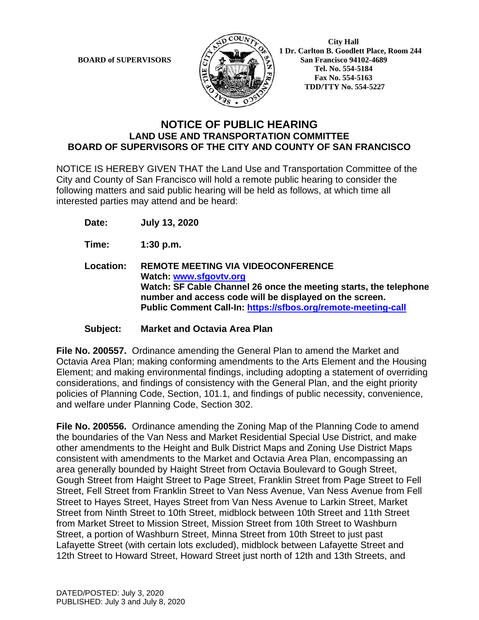

**BOARD of SUPERVISORS**  $\mathbb{R}$   $\mathbb{R}$   $\mathbb{R}$  **1 Dr. Carlton B. Goodlett Place, Room 244 San Francisco 94102-4689 Tel. No. 554-5184 Fax No. 554-5163 TDD/TTY No. 554-5227**

## **NOTICE OF PUBLIC HEARING LAND USE AND TRANSPORTATION COMMITTEE BOARD OF SUPERVISORS OF THE CITY AND COUNTY OF SAN FRANCISCO**

NOTICE IS HEREBY GIVEN THAT the Land Use and Transportation Committee of the City and County of San Francisco will hold a remote public hearing to consider the following matters and said public hearing will be held as follows, at which time all interested parties may attend and be heard:

**Date: July 13, 2020**

**Time: 1:30 p.m.**

**Location: REMOTE MEETING VIA VIDEOCONFERENCE Watch: www.sfgovtv.org Watch: SF Cable Channel 26 once the meeting starts, the telephone number and access code will be displayed on the screen. Public Comment Call-In: https://sfbos.org/remote-meeting-call**

**Subject: Market and Octavia Area Plan**

**File No. 200557.** Ordinance amending the General Plan to amend the Market and Octavia Area Plan; making conforming amendments to the Arts Element and the Housing Element; and making environmental findings, including adopting a statement of overriding considerations, and findings of consistency with the General Plan, and the eight priority policies of Planning Code, Section, 101.1, and findings of public necessity, convenience, and welfare under Planning Code, Section 302.

**File No. 200556.** Ordinance amending the Zoning Map of the Planning Code to amend the boundaries of the Van Ness and Market Residential Special Use District, and make other amendments to the Height and Bulk District Maps and Zoning Use District Maps consistent with amendments to the Market and Octavia Area Plan, encompassing an area generally bounded by Haight Street from Octavia Boulevard to Gough Street, Gough Street from Haight Street to Page Street, Franklin Street from Page Street to Fell Street, Fell Street from Franklin Street to Van Ness Avenue, Van Ness Avenue from Fell Street to Hayes Street, Hayes Street from Van Ness Avenue to Larkin Street, Market Street from Ninth Street to 10th Street, midblock between 10th Street and 11th Street from Market Street to Mission Street, Mission Street from 10th Street to Washburn Street, a portion of Washburn Street, Minna Street from 10th Street to just past Lafayette Street (with certain lots excluded), midblock between Lafayette Street and 12th Street to Howard Street, Howard Street just north of 12th and 13th Streets, and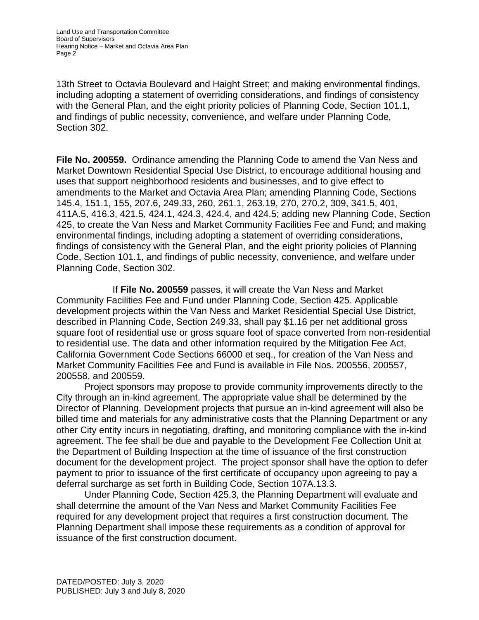13th Street to Octavia Boulevard and Haight Street; and making environmental findings, including adopting a statement of overriding considerations, and findings of consistency with the General Plan, and the eight priority policies of Planning Code, Section 101.1, and findings of public necessity, convenience, and welfare under Planning Code, Section 302.

**File No. 200559.** Ordinance amending the Planning Code to amend the Van Ness and Market Downtown Residential Special Use District, to encourage additional housing and uses that support neighborhood residents and businesses, and to give effect to amendments to the Market and Octavia Area Plan; amending Planning Code, Sections 145.4, 151.1, 155, 207.6, 249.33, 260, 261.1, 263.19, 270, 270.2, 309, 341.5, 401, 411A.5, 416.3, 421.5, 424.1, 424.3, 424.4, and 424.5; adding new Planning Code, Section 425, to create the Van Ness and Market Community Facilities Fee and Fund; and making environmental findings, including adopting a statement of overriding considerations, findings of consistency with the General Plan, and the eight priority policies of Planning Code, Section 101.1, and findings of public necessity, convenience, and welfare under Planning Code, Section 302.

If **File No. 200559** passes, it will create the Van Ness and Market Community Facilities Fee and Fund under Planning Code, Section 425. Applicable development projects within the Van Ness and Market Residential Special Use District, described in Planning Code, Section 249.33, shall pay \$1.16 per net additional gross square foot of residential use or gross square foot of space converted from non-residential to residential use. The data and other information required by the Mitigation Fee Act, California Government Code Sections 66000 et seq., for creation of the Van Ness and Market Community Facilities Fee and Fund is available in File Nos. 200556, 200557, 200558, and 200559.

Project sponsors may propose to provide community improvements directly to the City through an in-kind agreement. The appropriate value shall be determined by the Director of Planning. Development projects that pursue an in-kind agreement will also be billed time and materials for any administrative costs that the Planning Department or any other City entity incurs in negotiating, drafting, and monitoring compliance with the in-kind agreement. The fee shall be due and payable to the Development Fee Collection Unit at the Department of Building Inspection at the time of issuance of the first construction document for the development project. The project sponsor shall have the option to defer payment to prior to issuance of the first certificate of occupancy upon agreeing to pay a deferral surcharge as set forth in Building Code, Section 107A.13.3.

Under Planning Code, Section 425.3, the Planning Department will evaluate and shall determine the amount of the Van Ness and Market Community Facilities Fee required for any development project that requires a first construction document. The Planning Department shall impose these requirements as a condition of approval for issuance of the first construction document.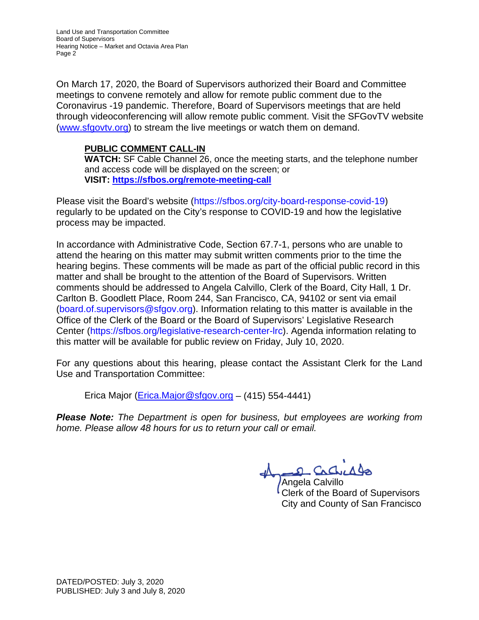Land Use and Transportation Committee Board of Supervisors Hearing Notice – Market and Octavia Area Plan Page 2

On March 17, 2020, the Board of Supervisors authorized their Board and Committee meetings to convene remotely and allow for remote public comment due to the Coronavirus -19 pandemic. Therefore, Board of Supervisors meetings that are held through videoconferencing will allow remote public comment. Visit the SFGovTV website (www.sfgovtv.org) to stream the live meetings or watch them on demand.

### **PUBLIC COMMENT CALL-IN**

**WATCH:** SF Cable Channel 26, once the meeting starts, and the telephone number and access code will be displayed on the screen; or **VISIT: https://sfbos.org/remote-meeting-call**

Please visit the Board's website (https://sfbos.org/city-board-response-covid-19) regularly to be updated on the City's response to COVID-19 and how the legislative process may be impacted.

In accordance with Administrative Code, Section 67.7-1, persons who are unable to attend the hearing on this matter may submit written comments prior to the time the hearing begins. These comments will be made as part of the official public record in this matter and shall be brought to the attention of the Board of Supervisors. Written comments should be addressed to Angela Calvillo, Clerk of the Board, City Hall, 1 Dr. Carlton B. Goodlett Place, Room 244, San Francisco, CA, 94102 or sent via email (board.of.supervisors@sfgov.org). Information relating to this matter is available in the Office of the Clerk of the Board or the Board of Supervisors' Legislative Research Center (https://sfbos.org/legislative-research-center-lrc). Agenda information relating to this matter will be available for public review on Friday, July 10, 2020.

For any questions about this hearing, please contact the Assistant Clerk for the Land Use and Transportation Committee:

Erica Major (Erica.Major@sfgov.org – (415) 554-4441)

*Please Note: The Department is open for business, but employees are working from home. Please allow 48 hours for us to return your call or email.*

S. Cachello

Angela Calvillo Clerk of the Board of Supervisors City and County of San Francisco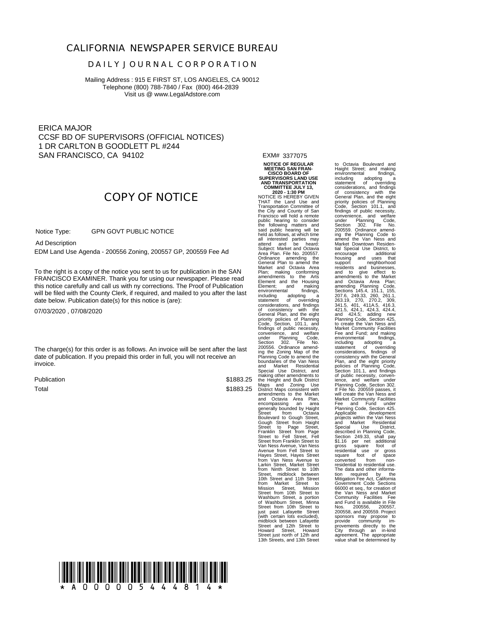#### **CALIFORNIA NEWSPAPER SERVICE BUREAU**

#### **D A I L Y J O U R N A L C O R P O R A T I O N**

Mailing Address : 915 E FIRST ST, LOS ANGELES, CA 90012 Telephone (800) 788-7840 / Fax (800) 464-2839 Visit us @ www.LegalAdstore.com

ERICA MAJOR CCSF BD OF SUPERVISORS (OFFICIAL NOTICES) 1 DR CARLTON B GOODLETT PL #244 SAN FRANCISCO, CA 94102

# **COPY OF NOTICE**

 GPN GOVT PUBLIC NOTICE Notice Type:

Ad Description

EDM Land Use Agenda - 200556 Zoning, 200557 GP, 200559 Fee Ad

FRANCISCO EXAMINER. Thank you for using our newspaper. Please read<br>this notice carefully and call us with ny corrections. The Proof of Publication To the right is a copy of the notice you sent to us for publication in the SAN FRANCISCO EXAMINER. Thank you for using our newspaper. Please read will be filed with the County Clerk, if required, and mailed to you after the last date below. Publication date(s) for this notice is (are):

07/03/2020 , 07/08/2020

The charge(s) for this order is as follows. An invoice will be sent after the last date of publication. If you prepaid this order in full, you will not receive an invoice.

Publication Total

\$1883.25 \$1883.25 stated methods and and construction and contained and considered from Coravia<br>encompassing an area generally bounded by Haight Street<br>Boulevard to Gough Street, Street from Horizon<br>Street from Haight<br>Street to Page Street,

EXM# 3377075

**NOTICE OF REGULAR MEETING SAN FRAN-CISCO BOARD OF SUPERVISORS LAND USE AND TRANSPORTATION COMMITTEE JULY 13, 2020 - 1:30 PM** NOTICE IS HEREBY GIVEN THAT the Land Use and Transportation Committee of the City and County of San Francisco will hold a remote public hearing to consider the following matters and said public hearing will be held as follows, at which time all interested parties may attend and be heard: Subject: Market and Octavia Area Plan. File No. 200557. Ordinance amending the General Plan to amend the Market and Octavia Area Plan; making conforming amendments to the Arts Element and the Housing Element; and making<br>environmental findings,<br>including adopting a<br>considerations, and findings<br>of consistency with the considerations, and indirige<br>of consistency with the<br>General Plan, and the eight priority policies of Planning<br>Code, Section, 101.1, and<br>findings of public necessity,<br>convenience, and welfare<br>under Planning Code,<br>Section 302. File No.<br>200556. Ordinance amend-

Street, midblock between<br>10th Street and 11th Street<br>from Market Street, Mission<br>Street from 10th Street to<br>Street from 10th Street to<br>Washburn Street, Minna<br>Street from 10th Street to<br>Street from 10th Street to<br>(with cert

Street just north of 12th and 13th Streets, and 13th Street

Haight Street; and making<br>environmental findings, including adopting and commination and forential consistency with the Consistency with the General Plan, and the eight<br>Consistency with the eight<br>Consistency with the eight<br>Code, Section 101.1, and<br>Code, Section 101.1, and housing and uses that<br>support meighborhood<br>residents and businesses,<br>amendments to the Market to<br>and consider and Datavia amendments to the Market<br>and Octavia Area Plan;<br>Sections 145.4, 151.1, 155,<br>263.19, 270, 270, 270, 2 including adopting a statement of overriding policies or Pianning Code,<br>Section 101.1, and findings<br>of public necessity, conven-<br>ience, and welfare under<br>Planning Code, Section 302.<br>If File No. 200559 passes, it is<br>direct property and Finding Handa Market Community F tion required by the<br>Mitigation Fee Act, California<br>Government Code Sections<br>66000 et seq., for creation of<br>the Van Ness and Market Community Facilities Fee<br>and Fund is available in File<br>Nos. 200556, 200557,<br>200558, and 200559. Project<br>sponsors may propose to<br>provide community im-<br>provements directly to the<br>City through an in-kind<br>agreement. The approp

to Octavia Boulevard and